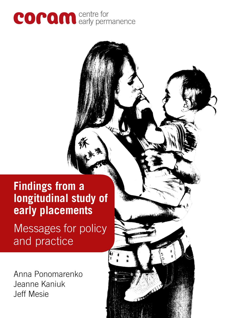

# **Findings from a longitudinal study of early placements**

Messages for policy and practice

Anna Ponomarenko Jeanne Kaniuk Jeff Mesie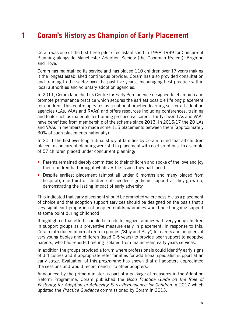# **1 Coram's History as Champion of Early Placement**

Coram was one of the first three pilot sites established in 1998-1999 for Concurrent Planning alongside Manchester Adoption Society (the Goodman Project), Brighton and Hove.

Coram has maintained its service and has placed 110 children over 17 years making it the longest established continuous provider. Coram has also provided consultation and training to the sector over the past five years, encouraging best practice within local authorities and voluntary adoption agencies.

In 2011, Coram launched its Centre for Early Permanence designed to champion and promote permanence practice which secures the earliest possible lifelong placement for children. This centre operates as a national practice learning set for all adoption agencies (LAs, VAAs and RAAs) and offers resources including conferences, training and tools such as materials for training prospective carers. Thirty seven LAs and VAAs have benefitted from membership of the scheme since 2013. In 2016/17 the 20 LAs and VAAs in membership made some 115 placements between them (approximately 30% of such placements nationally).

In 2011 the first ever longitudinal study of families by Coram found that all children placed in concurrent planning were still in placement with no disruptions. In a sample of 57 children placed under concurrent planning:

- Parents remained deeply committed to their children and spoke of the love and joy their children had brought whatever the issues they had faced.
- Despite earliest placement (almost all under 6 months and many placed from hospital), one third of children still needed significant support as they grew up, demonstrating the lasting impact of early adversity.

This indicated that early placement should be promoted where possible as a placement of choice and that adoption support services should be designed on the basis that a very significant proportion of adopted children/families would need ongoing support at some point during childhood.

It highlighted that efforts should be made to engage families with very young children in support groups as a preventive measure early in placement. In response to this, Coram introduced informal drop in groups ('Stay and Play') for carers and adopters of very young babies and children (aged 0-5 years) to provide peer support to adoptive parents, who had reported feeling isolated from mainstream early years services.

In addition the groups provided a forum where professionals could identify early signs of difficulties and if appropriate refer families for additional specialist support at an early stage. Evaluation of this programme has shown that all adopters appreciated the sessions and would recommend it to other adopters.

Announced by the prime minister as part of a package of measures in the Adoption Reform Programme, Coram published the *Good Practice Guide on the Role of Fostering for Adoption in Achieving Early Permanence for Children* in 2017 which updated the *Practice Guidance* commissioned by Coram in 2013.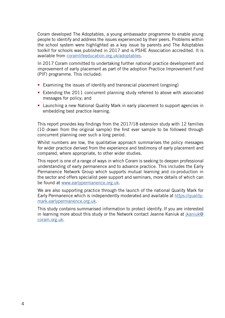Coram developed The Adoptables, a young ambassador programme to enable young people to identify and address the issues experienced by their peers. Problems within the school system were highlighted as a key issue by parents and The Adoptables toolkit for schools was published in 2017 and is PSHE Association accredited. It is available from coramlifeeducation.org.uk/adoptables.

In 2017 Coram committed to undertaking further national practice development and improvement of early placement as part of the adoption Practice Improvement Fund (PIF) programme. This included:

- Examining the issues of identity and transracial placement (ongoing)
- Extending the 2011 concurrent planning study referred to above with associated messages for policy; and
- Launching a new National Quality Mark in early placement to support agencies in embedding best practice learning.

This report provides key findings from the 2017/18 extension study with 12 families (10 drawn from the original sample) the first ever sample to be followed through concurrent planning over such a long period.

Whilst numbers are low, the qualitative approach summarises the policy messages for wider practice derived from the experience and testimony of early placement and compared, where appropriate, to other wider studies.

This report is one of a range of ways in which Coram is seeking to deepen professional understanding of early permanence and to advance practice. This includes the Early Permanence Network Group which supports mutual learning and co-production in the sector and offers specialist peer support and seminars, more details of which can be found at www.earlypermanence.org.uk.

We are also supporting practice through the launch of the national Quality Mark for Early Permanence which is independently moderated and available at https://qualitymark.earlypermanence.org.uk.

This study contains summarised information to protect identify. If you are interested in learning more about this study or the Network contact Jeanne Kaniuk at jkaniuk@ coram.org.uk.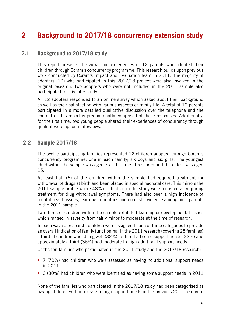# **2 Background to 2017/18 concurrency extension study**

#### **2.1 Background to 2017/18 study**

This report presents the views and experiences of 12 parents who adopted their children through Coram's concurrency programme. This research builds upon previous work conducted by Coram's Impact and Evaluation team in 2011. The majority of adopters (10) who participated in this 2017/18 project were also involved in the original research. Two adopters who were not included in the 2011 sample also participated in this later study.

All 12 adopters responded to an online survey which asked about their background as well as their satisfaction with various aspects of family life. A total of 10 parents participated in a more detailed qualitative discussion over the telephone and the content of this report is predominantly comprised of these responses. Additionally, for the first time, two young people shared their experiences of concurrency through qualitative telephone interviews.

#### **2.2 Sample 2017/18**

The twelve participating families represented 12 children adopted through Coram's concurrency programme, one in each family; six boys and six girls. The youngest child within the sample was aged 7 at the time of research and the eldest was aged 15.

At least half (6) of the children within the sample had required treatment for withdrawal of drugs at birth and been placed in special neonatal care. This mirrors the 2011 sample profile where 48% of children in the study were recorded as requiring treatment for drug withdrawal symptoms. There had also been a high incidence of mental health issues, learning difficulties and domestic violence among birth parents in the 2011 sample.

Two thirds of children within the sample exhibited learning or developmental issues which ranged in severity from fairly minor to moderate at the time of research.

In each wave of research, children were assigned to one of three categories to provide an overall indication of family functioning. In the 2011 research (covering 28 families) a third of children were doing well (32%), a third had some support needs (32%) and approximately a third (36%) had moderate to high additional support needs.

Of the ten families who participated in the 2011 study and the 2017/18 research:

- 7 (70%) had children who were assessed as having no additional support needs in 2011
- 3 (30%) had children who were identified as having some support needs in 2011

None of the families who participated in the 2017/18 study had been categorised as having children with moderate to high support needs in the previous 2011 research.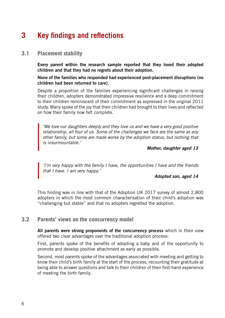# **3 Key findings and reflections**

#### **3.1 Placement stability**

**Every parent within the research sample reported that they loved their adopted children and that they had no regrets about their adoption.** 

**None of the families who responded had experienced post-placement disruptions (no children had been returned to care).** 

Despite a proportion of the families experiencing significant challenges in raising their children, adopters demonstrated impressive resilience and a deep commitment to their children reminiscent of their commitment as expressed in the original 2011 study. Many spoke of the joy that their children had brought to their lives and reflected on how their family now felt complete.

*'We love our daughters deeply and they love us and we have a very good positive relationship, all four of us. Some of the challenges we face are the same as any other family, but some are made worse by the adoption status, but nothing that is insurmountable.'*

*Mother, daughter aged 13*

*'I'm very happy with the family I have, the opportunities I have and the friends that I have. I am very happy.'* 

#### *Adopted son, aged 14*

This finding was in line with that of the Adoption UK 2017 survey of almost 2,800 adopters in which the most common characterisation of their child's adoption was "challenging but stable" and that no adopters regretted the adoption.

#### **3.2 Parents' views on the concurrency model**

**All parents were strong proponents of the concurrency process** which in their view offered two clear advantages over the traditional adoption process:

First, parents spoke of the benefits of adopting a baby and of the opportunity to promote and develop positive attachment as early as possible.

Second, most parents spoke of the advantages associated with meeting and getting to know their child's birth family at the start of the process, recounting their gratitude at being able to answer questions and talk to their children of their first-hand experience of meeting the birth family.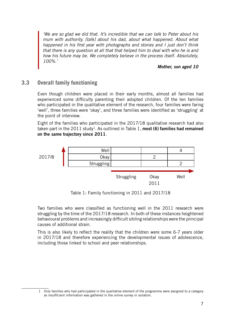*'We are so glad we did that. It's incredible that we can talk to Peter about his mum with authority, [talk] about his dad, about what happened. About what happened in his first year with photographs and stories and I just don't think that there is any question at all that that helped him to deal with who he is and how his future may be. We completely believe in the process itself. Absolutely, 100%.'*

#### *Mother, son aged 10*

### **3.3 Overall family functioning**

Even though children were placed in their early months, almost all families had experienced some difficulty parenting their adopted children. Of the ten families who participated in the qualitative element of the research, four families were faring 'well', three families were 'okay', and three families were identified as 'struggling' at the point of interview.

Eight of the families who participated in the 2017/18 qualitative research had also taken part in the 2011 study<sup>1</sup>. As outlined in Table 1, most (6) families had remained **on the same trajectory since 2011**.



Table 1: Family functioning in 2011 and 2017/18

Two families who were classified as functioning well in the 2011 research were struggling by the time of the 2017/18 research. In both of these instances heightened behavioural problems and increasingly difficult sibling relationships were the principal causes of additional strain.

This is also likely to reflect the reality that the children were some 6-7 years older in 2017/18 and therefore experiencing the developmental issues of adolescence, including those linked to school and peer relationships.

<sup>1</sup> Only families who had participated in the qualitative element of the programme were assigned to a category as insufficient information was gathered in the online survey in isolation.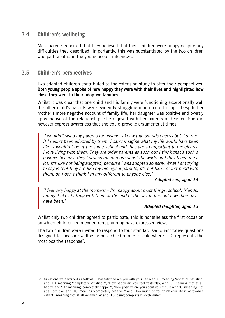### **3.4 Children's wellbeing**

Most parents reported that they believed that their children were happy despite any difficulties they described. Importantly, this was substantiated by the two children who participated in the young people interviews.

#### **3.5 Children's perspectives**

Two adopted children contributed to the extension study to offer their perspectives. **Both young people spoke of how happy they were with their lives and highlighted how close they were to their adoptive families**.

Whilst it was clear that one child and his family were functioning exceptionally well the other child's parents were evidently struggling much more to cope. Despite her mother's more negative account of family life, her daughter was positive and overtly appreciative of the relationships she enjoyed with her parents and sister. She did however express awareness that she could provoke arguments at times.

*'I wouldn't swap my parents for anyone. I know that sounds cheesy but it's true. If I hadn't been adopted by them, I can't imagine what my life would have been like. I wouldn't be at the same school and they are so important to me clearly. I love living with them. They are older parents as such but I think that's such a positive because they know so much more about the world and they teach me a lot. It's like not being adopted, because I was adopted so early. What I am trying to say is that they are like my biological parents, it's not like I didn't bond with them, so I don't think I'm any different to anyone else.'* 

#### *Adopted son, aged 14*

*'I feel very happy at the moment – I'm happy about most things, school, friends, family. I like chatting with them at the end of the day to find out how their days have been.'*

#### *Adopted daughter, aged 13*

Whilst only two children agreed to participate, this is nonetheless the first occasion on which children from concurrent planning have expressed views.

The two children were invited to respond to four standardised quantitative questions designed to measure wellbeing on a 0-10 numeric scale where '10' represents the most positive response2.

<sup>2</sup> Questions were worded as follows: 'How satisfied are you with your life with '0' meaning 'not at all satisfied' and '10' meaning 'completely satisfied'?', 'How happy did you feel yesterday, with '0' meaning 'not at all happy' and '10' meaning 'completely happy'?', 'How positive are you about your future with '0' meaning 'not at all positive' and '10' meaning 'completely positive'?' and 'How much do you think your life is worthwhile with '0' meaning 'not at all worthwhile' and '10' being completely worthwhile?'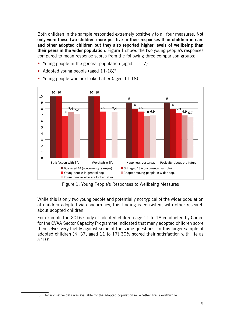Both children in the sample responded extremely positively to all four measures. **Not only were these two children more positive in their responses than children in care and other adopted children but they also reported higher levels of wellbeing than their peers in the wider population**. Figure 1 shows the two young people's responses compared to mean response scores from the following three comparison groups:

- Young people in the general population (aged 11-17)
- Adopted young people (aged 11-18)3



• Young people who are looked after (aged 11-18)

Figure 1: Young People's Responses to Wellbeing Measures

While this is only two young people and potentially not typical of the wider population of children adopted via concurrency, this finding is consistent with other research about adopted children.

For example the 2016 study of adopted children age 11 to 18 conducted by Coram for the CVAA Sector Capacity Programme indicated that many adopted children score themselves very highly against some of the same questions. In this larger sample of adopted children (N=37, aged 11 to 17) 30% scored their satisfaction with life as a '10'.

<sup>3</sup> No normative data was available for the adopted population re. whether life is worthwhile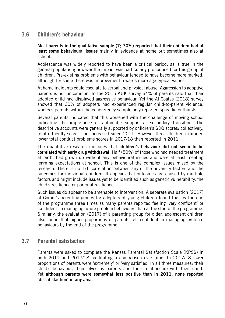### **3.6 Children's behaviour**

**Most parents in the qualitative sample (7; 70%) reported that their children had at least some behavioural issues** mainly in evidence at home but sometimes also at school.

Adolescence was widely reported to have been a critical period, as is true in the general population; however the impact was particularly pronounced for this group of children. Pre-existing problems with behaviour tended to have become more marked, although for some there was improvement towards more age-typical values.

At home incidents could escalate to verbal and physical abuse. Aggression to adoptive parents is not uncommon. In the 2015 AUK survey 64% of parents said that their adopted child had displayed aggressive behaviour. Yet the Al Coates (2018) survey showed that 30% of adopters had experienced regular child-to-parent violence, whereas parents within the concurrency sample only reported sporadic outbursts.

Several parents indicated that this worsened with the challenge of moving school indicating the importance of automatic support at secondary transition. The descriptive accounts were generally supported by children's SDQ scores; collectively, total difficulty scores had increased since 2011. However three children exhibited lower total conduct problems scores in 2017/18 than reported in 2011.

The qualitative research indicates that **children's behaviour did not seem to be correlated with early drug withdrawal**. Half (50%) of those who had needed treatment at birth, had grown up without any behavioural issues and were at least meeting learning expectations at school. This is one of the complex issues raised by the research. There is no 1:1 correlation between any of the adversity factors and the outcomes for individual children. It appears that outcomes are caused by multiple factors and might include issues yet to be identified such as genetic vulnerability, the child's resilience or parental resilience.

Such issues do appear to be amenable to intervention. A separate evaluation (2017) of Coram's parenting groups for adopters of young children found that by the end of the programme three times as many parents reported feeling 'very confident' or 'confident' in managing future problem behaviours than at the start of the programme. Similarly, the evaluation (2017) of a parenting group for older, adolescent children also found that higher proportions of parents felt confident in managing problem behaviours by the end of the programme.

### **3.7 Parental satisfaction**

Parents were asked to complete the Kansas Parental Satisfaction Scale (KPSS) in both 2011 and 2017/18 facilitating a comparison over time. In 2017/18 lower proportions of parents were 'extremely' or 'very satisfied' in all three measures: their child's behaviour, themselves as parents and their relationship with their child. Yet **although parents were somewhat less positive than in 2011, none reported 'dissatisfaction' in any area**.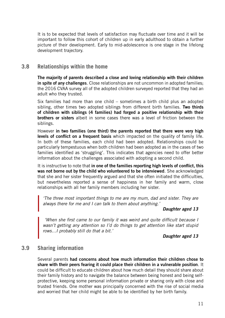It is to be expected that levels of satisfaction may fluctuate over time and it will be important to follow this cohort of children up in early adulthood to obtain a further picture of their development. Early to mid-adolescence is one stage in the lifelong development trajectory.

### **3.8 Relationships within the home**

**The majority of parents described a close and loving relationship with their children in spite of any challenges**. Close relationships are not uncommon in adopted families; the 2016 CVAA survey all of the adopted children surveyed reported that they had an adult who they trusted.

Six families had more than one child – sometimes a birth child plus an adopted sibling, other times two adopted siblings from different birth families. **Two thirds of children with siblings (4 families) had forged a positive relationship with their brothers or sisters** albeit in some cases there was a level of friction between the siblings.

However **in two families (one third) the parents reported that there were very high levels of conflict on a frequent basis** which impacted on the quality of family life. In both of these families, each child had been adopted. Relationships could be particularly tempestuous when both children had been adopted as in the cases of two families identified as 'struggling'. This indicates that agencies need to offer better information about the challenges associated with adopting a second child.

It is instructive to note that **in one of the families reporting high levels of conflict, this was not borne out by the child who volunteered to be interviewed**. She acknowledged that she and her sister frequently argued and that she often initiated the difficulties, but nevertheless reported a sense of happiness in her family and warm, close relationships with all her family members including her sister.

*'The three most important things to me are my mum, dad and sister. They are always there for me and I can talk to them about anything.'* 

#### *Daughter aged 13*

 *'When she first came to our family it was weird and quite difficult because I wasn't getting any attention so I'd do things to get attention like start stupid rows…I probably still do that a bit.'*

*Daughter aged 13* 

#### **3.9 Sharing information**

Several parents **had concerns about how much information their children chose to share with their peers fearing it could place their children in a vulnerable position**. It could be difficult to educate children about how much detail they should share about their family history and to navigate the balance between being honest and being selfprotective, keeping some personal information private or sharing only with close and trusted friends. One mother was principally concerned with the rise of social media and worried that her child might be able to be identified by her birth family.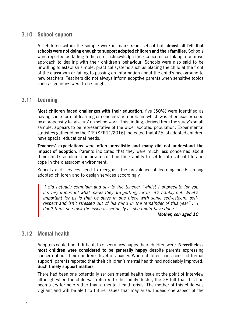# **3.10 School support**

All children within the sample were in mainstream school but **almost all felt that schools were not doing enough to support adopted children and their families**. Schools were reported as failing to listen or acknowledge their concerns or taking a punitive approach to dealing with their children's behaviour. Schools were also said to be unwilling to establish simple, practical systems such as placing the child at the front of the classroom or failing to passing on information about the child's background to new teachers. Teachers did not always inform adoptive parents when sensitive topics such as genetics were to be taught.

#### **3.11 Learning**

**Most children faced challenges with their education**; five (50%) were identified as having some form of learning or concentration problem which was often exacerbated by a propensity to 'give up' on schoolwork. This finding, derived from the study's small sample, appears to be representative of the wider adopted population. Experimental statistics gathered by the DfE (SFR11/2016) indicated that 47% of adopted children have special educational needs.

**Teachers' expectations were often unrealistic and many did not understand the impact of adoption**. Parents indicated that they were much less concerned about their child's academic achievement than their ability to settle into school life and cope in the classroom environment.

Schools and services need to recognise the prevalence of learning needs among adopted children and to design services accordingly.

*'I did actually complain and say to the teacher "whilst I appreciate for you it's very important what marks they are getting, for us, it's frankly not. What's important for us is that he stays in one piece with some self-esteem, selfrespect and isn't stressed out of his mind in the remainder of this year"… I don't think she took the issue as seriously as she might have done.'*

*Mother, son aged 10*

#### **3.12 Mental health**

Adopters could find it difficult to discern how happy their children were. **Nevertheless most children were considered to be generally happy** despite parents expressing concern about their children's level of anxiety. When children had accessed formal support, parents reported that their children's mental health had noticeably improved. **Such timely support matters**.

There had been one potentially serious mental health issue at the point of interview although when the child was referred to the family doctor, the GP felt that this had been a cry for help rather than a mental health crisis. The mother of this child was vigilant and will be alert to future issues that may arise. Indeed one aspect of the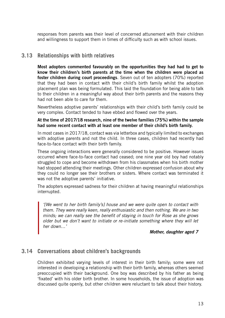responses from parents was their level of concerned attunement with their children and willingness to support them in times of difficulty such as with school issues.

# **3.13 Relationships with birth relatives**

**Most adopters commented favourably on the opportunities they had had to get to know their children's birth parents at the time when the children were placed as foster children during court proceedings**. Seven out of ten adopters (70%) reported that they had been in contact with their child's birth family whilst the adoption placement plan was being formulated. This laid the foundation for being able to talk to their children in a meaningful way about their birth parents and the reasons they had not been able to care for them.

Nevertheless adoptive parents' relationships with their child's birth family could be very complex. Contact tended to have ebbed and flowed over the years.

#### **At the time of 2017/18 research, nine of the twelve families (75%) within the sample had some recent contact with at least one member of their child's birth family.**

In most cases in 2017/18, contact was via letterbox and typically limited to exchanges with adoptive parents and not the child. In three cases, children had recently had face-to-face contact with their birth family.

These ongoing interactions were generally considered to be positive. However issues occurred where face-to-face contact had ceased; one nine year old boy had notably struggled to cope and become withdrawn from his classmates when his birth mother had stopped attending their meetings. Other children expressed confusion about why they could no longer see their brothers or sisters. Where contact was terminated it was not the adoptive parents' initiative.

The adopters expressed sadness for their children at having meaningful relationships interrupted.

*'[We went to her birth family's] house and we were quite open to contact with them. They were really keen, really enthusiastic and then nothing. We are in two minds; we can really see the benefit of staying in touch for Rose as she grows older but we don't want to initiate or re-initiate something where they will let her down…'*

#### *Mother, daughter aged 7*

#### **3.14 Conversations about children's backgrounds**

Children exhibited varying levels of interest in their birth family; some were not interested in developing a relationship with their birth family, whereas others seemed preoccupied with their background. One boy was described by his father as being 'fixated' with his older birth brother. In some households, the issue of adoption was discussed quite openly, but other children were reluctant to talk about their history.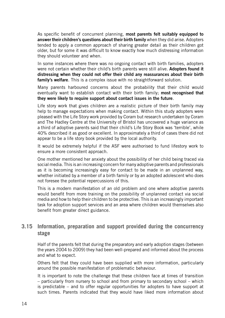As specific benefit of concurrent planning, **most parents felt suitably equipped to answer their children's questions about their birth family** when they did arise. Adopters tended to apply a common approach of sharing greater detail as their children got older, but for some it was difficult to know exactly how much distressing information they should volunteer and when.

In some instances where there was no ongoing contact with birth families, adopters were not certain whether their child's birth parents were still alive. **Adopters found it distressing when they could not offer their child any reassurances about their birth family's welfare**. This is a complex issue with no straightforward solution.

Many parents harboured concerns about the probability that their child would eventually want to establish contact with their birth family; **most recognised that they were likely to require support about contact issues in the future**.

Life story work that gives children are a realistic picture of their birth family may help to manage expectations when making contact. Within this study adopters were pleased with the Life Story work provided by Coram but research undertaken by Coram and The Hadley Centre at the University of Bristol has uncovered a huge variance as a third of adoptive parents said that their child's Life Story Book was 'terrible', while 40% described it as good or excellent. In approximately a third of cases there did not appear to be a life story book provided by the local authority.

It would be extremely helpful if the ASF were authorised to fund lifestory work to ensure a more consistent approach.

One mother mentioned her anxiety about the possibility of her child being traced via social media. This is an increasing concern for many adoptive parents and professionals as it is becoming increasingly easy for contact to be made in an unplanned way, whether initiated by a member of a birth family or by an adopted adolescent who does not foresee the potential repercussions of this.

This is a modern manifestation of an old problem and one where adoptive parents would benefit from more training on the possibility of unplanned contact via social media and how to help their children to be protective. This is an increasingly important task for adoption support services and an area where children would themselves also benefit from greater direct guidance.

### **3.15 Information, preparation and support provided during the concurrency stage**

Half of the parents felt that during the preparatory and early adoption stages (between the years 2004 to 2009) they had been well-prepared and informed about the process and what to expect.

Others felt that they could have been supplied with more information, particularly around the possible manifestation of problematic behaviour.

It is important to note the challenge that these children face at times of transition – particularly from nursery to school and from primary to secondary school – which is predictable – and to offer regular opportunities for adopters to have support at such times. Parents indicated that they would have liked more information about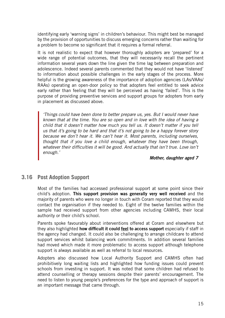identifying early 'warning signs' in children's behaviour. This might best be managed by the provision of opportunities to discuss emerging concerns rather than waiting for a problem to become so significant that it requires a formal referral.

It is not realistic to expect that however thoroughly adopters are 'prepared' for a wide range of potential outcomes, that they will necessarily recall the pertinent information several years down the line given the time lag between preparation and adolescence. Indeed several parents commented that they would not have 'listened' to information about possible challenges in the early stages of the process. More helpful is the growing awareness of the importance of adoption agencies (LAs/VAAs/ RAAs) operating an open-door policy so that adopters feel entitled to seek advice early rather than feeling that they will be perceived as having 'failed'. This is the purpose of providing preventive services and support groups for adopters from early in placement as discussed above.

*'Things could have been done to better prepare us, yes. But I would never have known that at the time. You are so open and in love with the idea of having a child that it doesn't matter how much you tell us. It doesn't matter if you tell us that it's going to be hard and that it's not going to be a happy forever story because we don't hear it. We can't hear it. Most parents, including ourselves, thought that if you love a child enough, whatever they have been through, whatever their difficulties it will be good. And actually that isn't true. Love isn't enough.'* 

#### *Mother, daughter aged 7*

#### **3.16 Post Adoption Support**

Most of the families had accessed professional support at some point since their child's adoption. **This support provision was generally very well received** and the majority of parents who were no longer in touch with Coram reported that they would contact the organisation if they needed to. Eight of the twelve families within the sample had received support from other agencies including CAMHS, their local authority or their child's school.

Parents spoke favourably about interventions offered at Coram and elsewhere but they also highlighted **how difficult it could feel to access support** especially if staff in the agency had changed. It could also be challenging to arrange childcare to attend support services whilst balancing work commitments. In addition several families had moved which made it more problematic to access support although telephone support is always available as well as referral to local resources.

Adopters also discussed how Local Authority Support and CAMHS often had prohibitively long waiting lists and highlighted how funding issues could prevent schools from investing in support. It was noted that some children had refused to attend counselling or therapy sessions despite their parents' encouragement. The need to listen to young people's preferences for the type and approach of support is an important message that came through.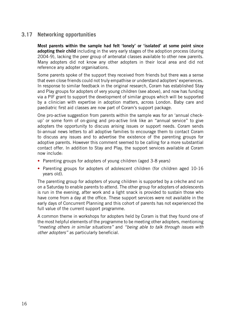## **3.17 Networking opportunities**

**Most parents within the sample had felt 'lonely' or 'isolated' at some point since adopting their child** including in the very early stages of the adoption process (during 2004-9), lacking the peer group of antenatal classes available to other new parents. Many adopters did not know any other adopters in their local area and did not reference any adopter organisations.

Some parents spoke of the support they received from friends but there was a sense that even close friends could not truly empathise or understand adopters' experiences. In response to similar feedback in the original research, Coram has established Stay and Play groups for adopters of very young children (see above), and now has funding via a PIF grant to support the development of similar groups which will be supported by a clinician with expertise in adoption matters, across London. Baby care and paediatric first aid classes are now part of Coram's support package.

One pro-active suggestion from parents within the sample was for an 'annual checkup' or some form of on-going and pro-active link like an "annual service" to give adopters the opportunity to discuss arising issues or support needs. Coram sends bi-annual news letters to all adoptive families to encourage them to contact Coram to discuss any issues and to advertise the existence of the parenting groups for adoptive parents. However this comment seemed to be calling for a more substantial contact offer. In addition to Stay and Play, the support services available at Coram now include:

- Parenting groups for adopters of young children (aged 3-8 years)
- Parenting groups for adopters of adolescent children (for children aged 10-16 years old).

The parenting group for adopters of young children is supported by a crèche and run on a Saturday to enable parents to attend. The other group for adopters of adolescents is run in the evening, after work and a light snack is provided to sustain those who have come from a day at the office. These support services were not available in the early days of Concurrent Planning and this cohort of parents has not experienced the full value of the current support programme.

A common theme in workshops for adopters held by Coram is that they found one of the most helpful elements of the programme to be meeting other adopters, mentioning *"meeting others in similar situations"* and *"being able to talk through issues with other adopters"* as particularly beneficial.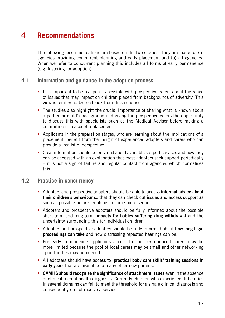# **4 Recommendations**

The following recommendations are based on the two studies. They are made for (a) agencies providing concurrent planning and early placement and (b) all agencies. When we refer to concurrent planning this includes all forms of early permanence (e.g. fostering for adoption).

#### **4.1 Information and guidance in the adoption process**

- It is important to be as open as possible with prospective carers about the range of issues that may impact on children placed from backgrounds of adversity. This view is reinforced by feedback from these studies.
- The studies also highlight the crucial importance of sharing what is known about a particular child's background and giving the prospective carers the opportunity to discuss this with specialists such as the Medical Advisor before making a commitment to accept a placement
- Applicants in the preparation stages, who are learning about the implications of a placement, benefit from the insight of experienced adopters and carers who can provide a 'realistic' perspective.
- Clear information should be provided about available support services and how they can be accessed with an explanation that most adopters seek support periodically – it is not a sign of failure and regular contact from agencies which normalises this.

#### **4.2 Practice in concurrency**

- Adopters and prospective adopters should be able to access **informal advice about their children's behaviour** so that they can check out issues and access support as soon as possible before problems become more serious.
- Adopters and prospective adopters should be fully informed about the possible short term and long-term **impacts for babies suffering drug withdrawal** and the uncertainty surrounding this for individual children.
- Adopters and prospective adopters should be fully-informed about **how long legal proceedings can take** and how distressing repeated hearings can be.
- For early permanence applicants access to such experienced carers may be more limited because the pool of local carers may be small and other networking opportunities may be needed.
- All adopters should have access to **'practical baby care skills' training sessions in early years** that are available to many other new parents.
- **CAMHS should recognise the significance of attachment issues** even in the absence of clinical mental health diagnoses. Currently children who experience difficulties in several domains can fail to meet the threshold for a single clinical diagnosis and consequently do not receive a service.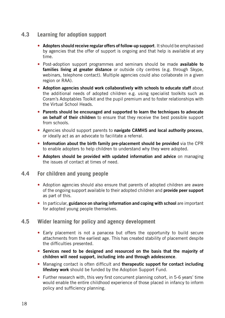## **4.3 Learning for adoption support**

- **Adopters should receive regular offers of follow-up support**. It should be emphasised by agencies that the offer of support is ongoing and that help is available at any time.
- Post-adoption support programmes and seminars should be made **available to families living at greater distance** or outside city centres (e.g. through Skype, webinars, telephone contact). Multiple agencies could also collaborate in a given region or RAA).
- **Adoption agencies should work collaboratively with schools to educate staff** about the additional needs of adopted children e.g. using specialist toolkits such as Coram's Adoptables Toolkit and the pupil premium and to foster relationships with the Virtual School Heads.
- **Parents should be encouraged and supported to learn the techniques to advocate on behalf of their children** to ensure that they receive the best possible support from schools.
- Agencies should support parents to **navigate CAMHS and local authority process**, or ideally act as an advocate to facilitate a referral.
- **Information about the birth family pre-placement should be provided** via the CPR to enable adopters to help children to understand why they were adopted.
- **Adopters should be provided with updated information and advice** on managing the issues of contact at times of need.

#### **4.4 For children and young people**

- Adoption agencies should also ensure that parents of adopted children are aware of the ongoing support available to their adopted children and **provide peer support**  as part of this.
- In particular, **guidance on sharing information and coping with school** are important for adopted young people themselves.

#### **4.5 Wider learning for policy and agency development**

- Early placement is not a panacea but offers the opportunity to build secure attachments from the earliest age. This has created stability of placement despite the difficulties presented.
- **Services need to be designed and resourced on the basis that the majority of children will need support, including into and through adolescence**.
- Managing contact is often difficult and **therapeutic support for contact including lifestory work** should be funded by the Adoption Support Fund.
- Further research with, this very first concurrent planning cohort, in 5-6 years' time would enable the entire childhood experience of those placed in infancy to inform policy and sufficiency planning.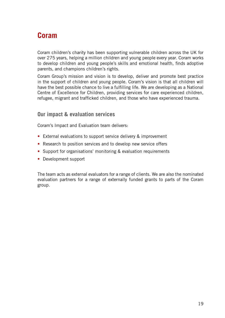# **Coram**

Coram children's charity has been supporting vulnerable children across the UK for over 275 years, helping a million children and young people every year. Coram works to develop children and young people's skills and emotional health, finds adoptive parents, and champions children's rights.

Coram Group's mission and vision is to develop, deliver and promote best practice in the support of children and young people. Coram's vision is that all children will have the best possible chance to live a fulfilling life. We are developing as a National Centre of Excellence for Children, providing services for care experienced children, refugee, migrant and trafficked children, and those who have experienced trauma.

#### **Our impact & evaluation services**

Coram's Impact and Evaluation team delivers:

- External evaluations to support service delivery & improvement
- Research to position services and to develop new service offers
- Support for organisations' monitoring & evaluation requirements
- Development support

The team acts as external evaluators for a range of clients. We are also the nominated evaluation partners for a range of externally funded grants to parts of the Coram group.